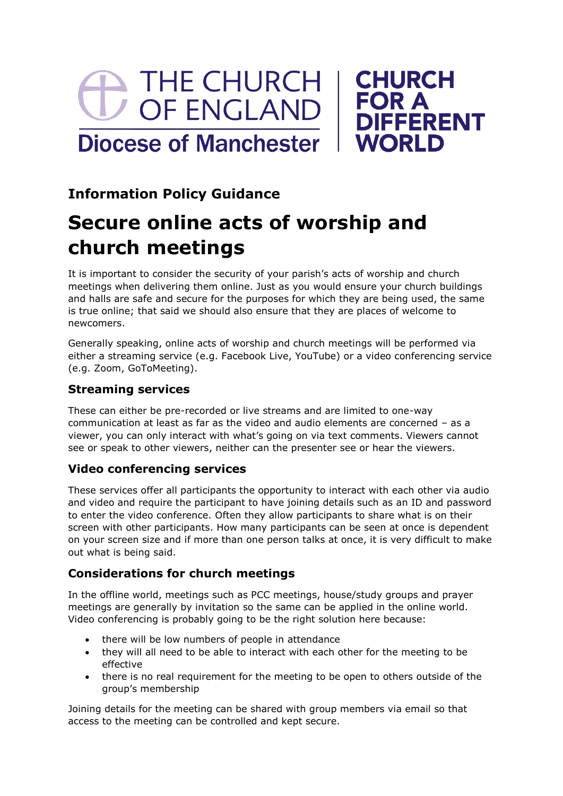# THE CHURCH OF ENGLAND **Diocese of Manchester**



## **Information Policy Guidance**

## **Secure online acts of worship and church meetings**

It is important to consider the security of your parish's acts of worship and church meetings when delivering them online. Just as you would ensure your church buildings and halls are safe and secure for the purposes for which they are being used, the same is true online; that said we should also ensure that they are places of welcome to newcomers.

Generally speaking, online acts of worship and church meetings will be performed via either a streaming service (e.g. Facebook Live, YouTube) or a video conferencing service (e.g. Zoom, GoToMeeting).

## **Streaming services**

These can either be pre-recorded or live streams and are limited to one-way communication at least as far as the video and audio elements are concerned – as a viewer, you can only interact with what's going on via text comments. Viewers cannot see or speak to other viewers, neither can the presenter see or hear the viewers.

## **Video conferencing services**

These services offer all participants the opportunity to interact with each other via audio and video and require the participant to have joining details such as an ID and password to enter the video conference. Often they allow participants to share what is on their screen with other participants. How many participants can be seen at once is dependent on your screen size and if more than one person talks at once, it is very difficult to make out what is being said.

## **Considerations for church meetings**

In the offline world, meetings such as PCC meetings, house/study groups and prayer meetings are generally by invitation so the same can be applied in the online world. Video conferencing is probably going to be the right solution here because:

- there will be low numbers of people in attendance
- they will all need to be able to interact with each other for the meeting to be effective
- there is no real requirement for the meeting to be open to others outside of the group's membership

Joining details for the meeting can be shared with group members via email so that access to the meeting can be controlled and kept secure.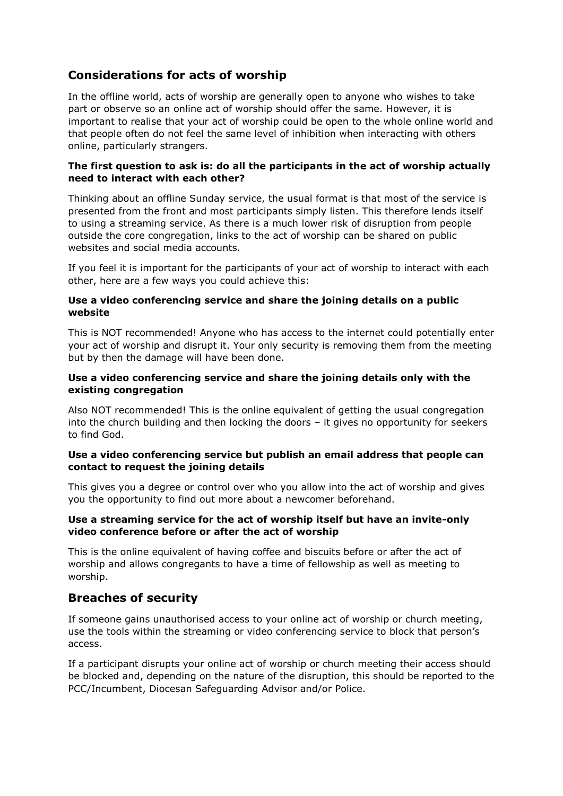### **Considerations for acts of worship**

In the offline world, acts of worship are generally open to anyone who wishes to take part or observe so an online act of worship should offer the same. However, it is important to realise that your act of worship could be open to the whole online world and that people often do not feel the same level of inhibition when interacting with others online, particularly strangers.

#### **The first question to ask is: do all the participants in the act of worship actually need to interact with each other?**

Thinking about an offline Sunday service, the usual format is that most of the service is presented from the front and most participants simply listen. This therefore lends itself to using a streaming service. As there is a much lower risk of disruption from people outside the core congregation, links to the act of worship can be shared on public websites and social media accounts.

If you feel it is important for the participants of your act of worship to interact with each other, here are a few ways you could achieve this:

#### **Use a video conferencing service and share the joining details on a public website**

This is NOT recommended! Anyone who has access to the internet could potentially enter your act of worship and disrupt it. Your only security is removing them from the meeting but by then the damage will have been done.

#### **Use a video conferencing service and share the joining details only with the existing congregation**

Also NOT recommended! This is the online equivalent of getting the usual congregation into the church building and then locking the doors – it gives no opportunity for seekers to find God.

#### **Use a video conferencing service but publish an email address that people can contact to request the joining details**

This gives you a degree or control over who you allow into the act of worship and gives you the opportunity to find out more about a newcomer beforehand.

#### **Use a streaming service for the act of worship itself but have an invite-only video conference before or after the act of worship**

This is the online equivalent of having coffee and biscuits before or after the act of worship and allows congregants to have a time of fellowship as well as meeting to worship.

#### **Breaches of security**

If someone gains unauthorised access to your online act of worship or church meeting, use the tools within the streaming or video conferencing service to block that person's access.

If a participant disrupts your online act of worship or church meeting their access should be blocked and, depending on the nature of the disruption, this should be reported to the PCC/Incumbent, Diocesan Safeguarding Advisor and/or Police.